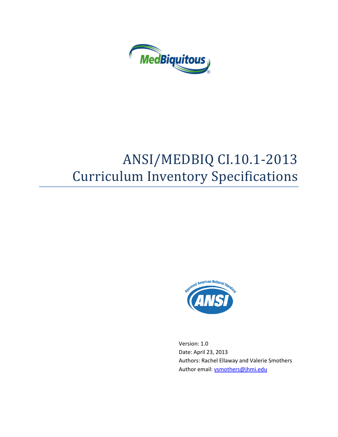

# ANSI/MEDBIQ CI.10.1-2013 Curriculum Inventory Specifications



Version: 1.0 Date: April 23, 2013 Authors: Rachel Ellaway and Valerie Smothers Author email[: vsmothers@jhmi.edu](mailto:vsmothers@jhmi.edu)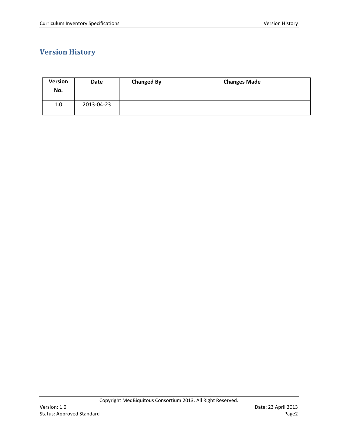# <span id="page-1-0"></span>**Version History**

| <b>Version</b><br>No. | Date       | <b>Changed By</b> | <b>Changes Made</b> |
|-----------------------|------------|-------------------|---------------------|
| 1.0                   | 2013-04-23 |                   |                     |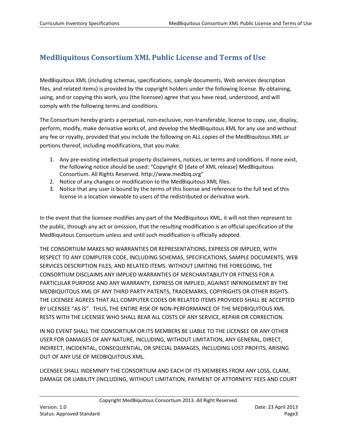# <span id="page-2-0"></span>**MedBiquitous Consortium XML Public License and Terms of Use**

MedBiquitous XML (including schemas, specifications, sample documents, Web services description files, and related items) is provided by the copyright holders under the following license. By obtaining, using, and or copying this work, you (the licensee) agree that you have read, understood, and will comply with the following terms and conditions.

The Consortium hereby grants a perpetual, non-exclusive, non-transferable, license to copy, use, display, perform, modify, make derivative works of, and develop the MedBiquitous XML for any use and without any fee or royalty, provided that you include the following on ALL copies of the MedBiquitous XML or portions thereof, including modifications, that you make.

- 1. Any pre-existing intellectual property disclaimers, notices, or terms and conditions. If none exist, the following notice should be used: "Copyright © [date of XML release] MedBiquitous Consortium. All Rights Reserved. http://www.medbiq.org"
- 2. Notice of any changes or modification to the MedBiquitous XML files.
- 3. Notice that any user is bound by the terms of this license and reference to the full text of this license in a location viewable to users of the redistributed or derivative work.

In the event that the licensee modifies any part of the MedBiquitous XML, it will not then represent to the public, through any act or omission, that the resulting modification is an official specification of the MedBiquitous Consortium unless and until such modification is officially adopted.

THE CONSORTIUM MAKES NO WARRANTIES OR REPRESENTATIONS, EXPRESS OR IMPLIED, WITH RESPECT TO ANY COMPUTER CODE, INCLUDING SCHEMAS, SPECIFICATIONS, SAMPLE DOCUMENTS, WEB SERVICES DESCRIPTION FILES, AND RELATED ITEMS. WITHOUT LIMITING THE FOREGOING, THE CONSORTIUM DISCLAIMS ANY IMPLIED WARRANTIES OF MERCHANTABILITY OR FITNESS FOR A PARTICULAR PURPOSE AND ANY WARRANTY, EXPRESS OR IMPLIED, AGAINST INFRINGEMENT BY THE MEDBIQUITOUS XML OF ANY THIRD PARTY PATENTS, TRADEMARKS, COPYRIGHTS OR OTHER RIGHTS. THE LICENSEE AGREES THAT ALL COMPUTER CODES OR RELATED ITEMS PROVIDED SHALL BE ACCEPTED BY LICENSEE "AS IS". THUS, THE ENTIRE RISK OF NON-PERFORMANCE OF THE MEDBIQUITOUS XML RESTS WITH THE LICENSEE WHO SHALL BEAR ALL COSTS OF ANY SERVICE, REPAIR OR CORRECTION.

IN NO EVENT SHALL THE CONSORTIUM OR ITS MEMBERS BE LIABLE TO THE LICENSEE OR ANY OTHER USER FOR DAMAGES OF ANY NATURE, INCLUDING, WITHOUT LIMITATION, ANY GENERAL, DIRECT, INDIRECT, INCIDENTAL, CONSEQUENTIAL, OR SPECIAL DAMAGES, INCLUDING LOST PROFITS, ARISING OUT OF ANY USE OF MEDBIQUITOUS XML.

LICENSEE SHALL INDEMNIFY THE CONSORTIUM AND EACH OF ITS MEMBERS FROM ANY LOSS, CLAIM, DAMAGE OR LIABILITY (INCLUDING, WITHOUT LIMITATION, PAYMENT OF ATTORNEYS' FEES AND COURT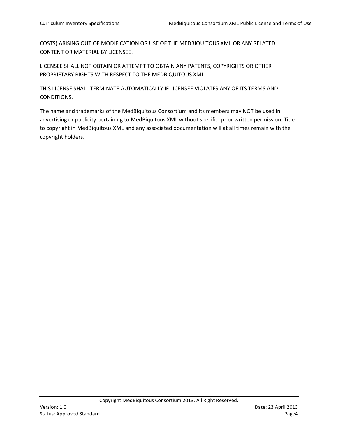COSTS) ARISING OUT OF MODIFICATION OR USE OF THE MEDBIQUITOUS XML OR ANY RELATED CONTENT OR MATERIAL BY LICENSEE.

LICENSEE SHALL NOT OBTAIN OR ATTEMPT TO OBTAIN ANY PATENTS, COPYRIGHTS OR OTHER PROPRIETARY RIGHTS WITH RESPECT TO THE MEDBIQUITOUS XML.

THIS LICENSE SHALL TERMINATE AUTOMATICALLY IF LICENSEE VIOLATES ANY OF ITS TERMS AND CONDITIONS.

The name and trademarks of the MedBiquitous Consortium and its members may NOT be used in advertising or publicity pertaining to MedBiquitous XML without specific, prior written permission. Title to copyright in MedBiquitous XML and any associated documentation will at all times remain with the copyright holders.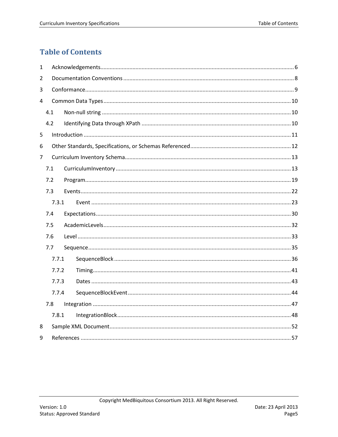# <span id="page-4-0"></span>**Table of Contents**

| 1 |     |       |  |  |  |  |
|---|-----|-------|--|--|--|--|
| 2 |     |       |  |  |  |  |
| 3 |     |       |  |  |  |  |
| 4 |     |       |  |  |  |  |
|   | 4.1 |       |  |  |  |  |
|   | 4.2 |       |  |  |  |  |
| 5 |     |       |  |  |  |  |
| 6 |     |       |  |  |  |  |
| 7 |     |       |  |  |  |  |
|   | 7.1 |       |  |  |  |  |
|   | 7.2 |       |  |  |  |  |
|   | 7.3 |       |  |  |  |  |
|   |     | 7.3.1 |  |  |  |  |
|   | 7.4 |       |  |  |  |  |
|   | 7.5 |       |  |  |  |  |
|   | 7.6 |       |  |  |  |  |
|   | 7.7 |       |  |  |  |  |
|   |     | 7.7.1 |  |  |  |  |
|   |     | 7.7.2 |  |  |  |  |
|   |     | 7.7.3 |  |  |  |  |
|   |     | 7.7.4 |  |  |  |  |
|   | 7.8 |       |  |  |  |  |
|   |     | 7.8.1 |  |  |  |  |
| 8 |     |       |  |  |  |  |
| 9 |     |       |  |  |  |  |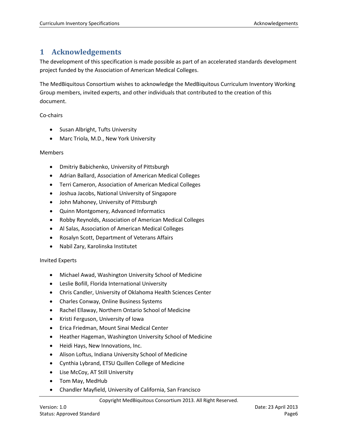# <span id="page-5-0"></span>**1 Acknowledgements**

The development of this specification is made possible as part of an accelerated standards development project funded by the Association of American Medical Colleges.

The MedBiquitous Consortium wishes to acknowledge the MedBiquitous Curriculum Inventory Working Group members, invited experts, and other individuals that contributed to the creation of this document.

Co-chairs

- Susan Albright, Tufts University
- Marc Triola, M.D., New York University

#### Members

- Dmitriy Babichenko, University of Pittsburgh
- Adrian Ballard, Association of American Medical Colleges
- Terri Cameron, Association of American Medical Colleges
- Joshua Jacobs, National University of Singapore
- John Mahoney, University of Pittsburgh
- Quinn Montgomery, Advanced Informatics
- Robby Reynolds, Association of American Medical Colleges
- Al Salas, Association of American Medical Colleges
- Rosalyn Scott, Department of Veterans Affairs
- Nabil Zary, Karolinska Institutet

#### Invited Experts

- Michael Awad, Washington University School of Medicine
- Leslie Bofill, Florida International University
- Chris Candler, University of Oklahoma Health Sciences Center
- Charles Conway, Online Business Systems
- Rachel Ellaway, Northern Ontario School of Medicine
- Kristi Ferguson, University of Iowa
- Erica Friedman, Mount Sinai Medical Center
- Heather Hageman, Washington University School of Medicine
- Heidi Hays, New Innovations, Inc.
- Alison Loftus, Indiana University School of Medicine
- Cynthia Lybrand, ETSU Quillen College of Medicine
- Lise McCoy, AT Still University
- Tom May, MedHub
- Chandler Mayfield, University of California, San Francisco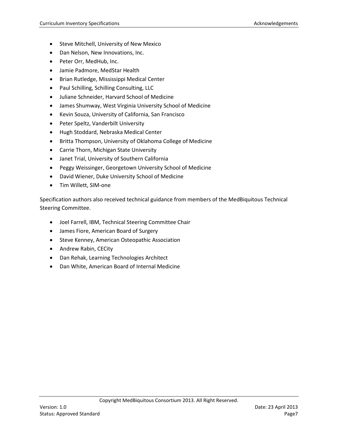- Steve Mitchell, University of New Mexico
- Dan Nelson, New Innovations, Inc.
- Peter Orr, MedHub, Inc.
- Jamie Padmore, MedStar Health
- Brian Rutledge, Mississippi Medical Center
- Paul Schilling, Schilling Consulting, LLC
- Juliane Schneider, Harvard School of Medicine
- James Shumway, West Virginia University School of Medicine
- Kevin Souza, University of California, San Francisco
- Peter Speltz, Vanderbilt University
- Hugh Stoddard, Nebraska Medical Center
- Britta Thompson, University of Oklahoma College of Medicine
- Carrie Thorn, Michigan State University
- Janet Trial, University of Southern California
- Peggy Weissinger, Georgetown University School of Medicine
- David Wiener, Duke University School of Medicine
- Tim Willett, SIM-one

Specification authors also received technical guidance from members of the MedBiquitous Technical Steering Committee.

- Joel Farrell, IBM, Technical Steering Committee Chair
- James Fiore, American Board of Surgery
- Steve Kenney, American Osteopathic Association
- Andrew Rabin, CECity
- Dan Rehak, Learning Technologies Architect
- Dan White, American Board of Internal Medicine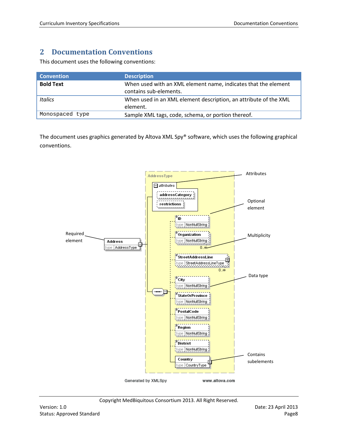# <span id="page-7-0"></span>**2 Documentation Conventions**

This document uses the following conventions:

| <b>Convention</b> | <b>Description</b>                                                                       |
|-------------------|------------------------------------------------------------------------------------------|
| <b>Bold Text</b>  | When used with an XML element name, indicates that the element<br>contains sub-elements. |
| Italics           | When used in an XML element description, an attribute of the XML<br>element.             |
| Monospaced type   | Sample XML tags, code, schema, or portion thereof.                                       |

The document uses graphics generated by Altova XML Spy® software, which uses the following graphical conventions.

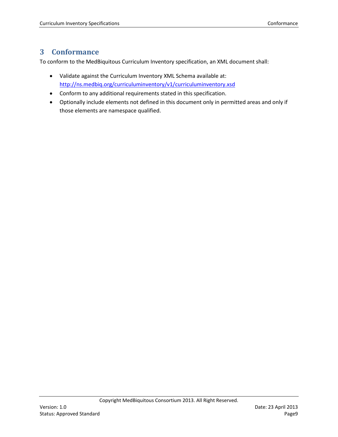# <span id="page-8-0"></span>**3 Conformance**

To conform to the MedBiquitous Curriculum Inventory specification, an XML document shall:

- Validate against the Curriculum Inventory XML Schema available at: <http://ns.medbiq.org/curriculuminventory/v1/curriculuminventory.xsd>
- Conform to any additional requirements stated in this specification.
- Optionally include elements not defined in this document only in permitted areas and only if those elements are namespace qualified.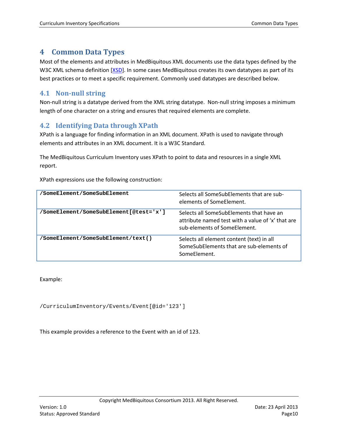# <span id="page-9-0"></span>**4 Common Data Types**

Most of the elements and attributes in MedBiquitous XML documents use the data types defined by the W3C XML schema definition [\[XSD\]](#page-56-1). In some cases MedBiquitous creates its own datatypes as part of its best practices or to meet a specific requirement. Commonly used datatypes are described below.

# <span id="page-9-1"></span>**4.1 Non-null string**

Non-null string is a datatype derived from the XML string datatype. Non-null string imposes a minimum length of one character on a string and ensures that required elements are complete.

# <span id="page-9-2"></span>**4.2 Identifying Data through XPath**

XPath is a language for finding information in an XML document. XPath is used to navigate through elements and attributes in an XML document. It is a W3C Standard.

The MedBiquitous Curriculum Inventory uses XPath to point to data and resources in a single XML report.

XPath expressions use the following construction:

| /SomeElement/SomeSubElement            | Selects all SomeSubElements that are sub-<br>elements of SomeFlement.                                                         |
|----------------------------------------|-------------------------------------------------------------------------------------------------------------------------------|
| 'SomeElement/SomeSubElement[@test='x'] | Selects all SomeSubElements that have an<br>attribute named test with a value of 'x' that are<br>sub-elements of SomeFlement. |
| 'SomeElement/SomeSubElement/text()     | Selects all element content (text) in all<br>SomeSubElements that are sub-elements of<br>SomeFlement.                         |

Example:

/CurriculumInventory/Events/Event[@id='123']

This example provides a reference to the Event with an id of 123.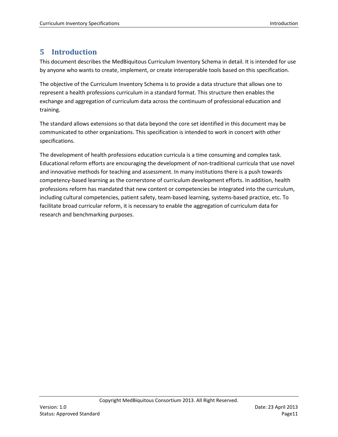# <span id="page-10-0"></span>**5 Introduction**

This document describes the MedBiquitous Curriculum Inventory Schema in detail. It is intended for use by anyone who wants to create, implement, or create interoperable tools based on this specification.

The objective of the Curriculum Inventory Schema is to provide a data structure that allows one to represent a health professions curriculum in a standard format. This structure then enables the exchange and aggregation of curriculum data across the continuum of professional education and training.

The standard allows extensions so that data beyond the core set identified in this document may be communicated to other organizations. This specification is intended to work in concert with other specifications.

The development of health professions education curricula is a time consuming and complex task. Educational reform efforts are encouraging the development of non-traditional curricula that use novel and innovative methods for teaching and assessment. In many institutions there is a push towards competency-based learning as the cornerstone of curriculum development efforts. In addition, health professions reform has mandated that new content or competencies be integrated into the curriculum, including cultural competencies, patient safety, team-based learning, systems-based practice, etc. To facilitate broad curricular reform, it is necessary to enable the aggregation of curriculum data for research and benchmarking purposes.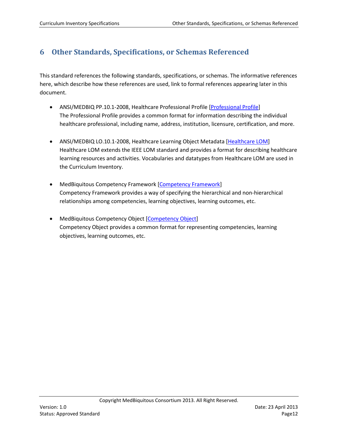# <span id="page-11-0"></span>**6 Other Standards, Specifications, or Schemas Referenced**

This standard references the following standards, specifications, or schemas. The informative references here, which describe how these references are used, link to formal references appearing later in this document.

- ANSI/MEDBIQ PP.10.1-2008, Healthcare Professional Profile [\[Professional Profile\]](#page-14-0) The Professional Profile provides a common format for information describing the individual healthcare professional, including name, address, institution, licensure, certification, and more.
- ANSI/MEDBIQ LO.10.1-2008, Healthcare Learning Object Metadata [\[Healthcare LOM\]](#page-56-2) Healthcare LOM extends the IEEE LOM standard and provides a format for describing healthcare learning resources and activities. Vocabularies and datatypes from Healthcare LOM are used in the Curriculum Inventory.
- MedBiquitous Competency Framework [\[Competency Framework\]](#page-56-2) Competency Framework provides a way of specifying the hierarchical and non-hierarchical relationships among competencies, learning objectives, learning outcomes, etc.
- MedBiquitous Competency Object [\[Competency Object\]](#page-56-2) Competency Object provides a common format for representing competencies, learning objectives, learning outcomes, etc.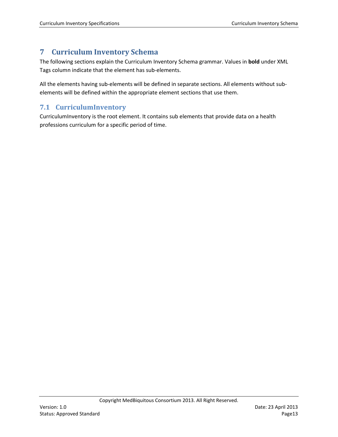# <span id="page-12-2"></span><span id="page-12-0"></span>**7 Curriculum Inventory Schema**

The following sections explain the Curriculum Inventory Schema grammar. Values in **bold** under XML Tags column indicate that the element has sub-elements.

All the elements having sub-elements will be defined in separate sections. All elements without subelements will be defined within the appropriate element sections that use them.

# <span id="page-12-1"></span>**7.1 CurriculumInventory**

CurriculumInventory is the root element. It contains sub elements that provide data on a health professions curriculum for a specific period of time.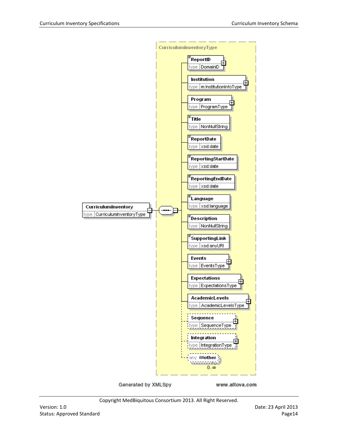

Generated by XMLSpy

www.altova.com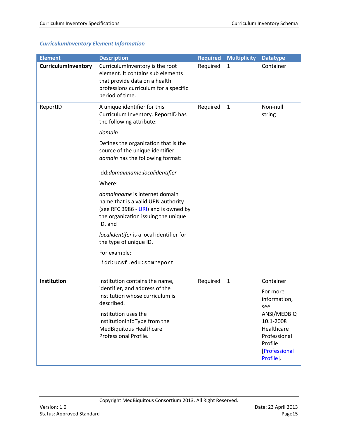# *CurriculumInventory Element Information*

<span id="page-14-0"></span>

| <b>Element</b>      | <b>Description</b>                                                                                                                                                | <b>Required</b> | <b>Multiplicity</b> | <b>Datatype</b>                                                                                 |
|---------------------|-------------------------------------------------------------------------------------------------------------------------------------------------------------------|-----------------|---------------------|-------------------------------------------------------------------------------------------------|
| CurriculumInventory | CurriculumInventory is the root<br>element. It contains sub elements<br>that provide data on a health<br>professions curriculum for a specific<br>period of time. | Required        | $\mathbf{1}$        | Container                                                                                       |
| ReportID            | A unique identifier for this<br>Curriculum Inventory. ReportID has<br>the following attribute:                                                                    | Required        | $\mathbf{1}$        | Non-null<br>string                                                                              |
|                     | domain                                                                                                                                                            |                 |                     |                                                                                                 |
|                     | Defines the organization that is the<br>source of the unique identifier.<br>domain has the following format:                                                      |                 |                     |                                                                                                 |
|                     | idd:domainname:localidentifier                                                                                                                                    |                 |                     |                                                                                                 |
|                     | Where:                                                                                                                                                            |                 |                     |                                                                                                 |
|                     | domainname is internet domain<br>name that is a valid URN authority<br>(see RFC 3986 - URI) and is owned by<br>the organization issuing the unique<br>ID. and     |                 |                     |                                                                                                 |
|                     | localidentifer is a local identifier for<br>the type of unique ID.                                                                                                |                 |                     |                                                                                                 |
|                     | For example:                                                                                                                                                      |                 |                     |                                                                                                 |
|                     | idd:ucsf.edu:somreport                                                                                                                                            |                 |                     |                                                                                                 |
| Institution         | Institution contains the name,<br>identifier, and address of the<br>institution whose curriculum is<br>described.                                                 | Required        | $\mathbf{1}$        | Container<br>For more<br>information<br>see                                                     |
|                     | Institution uses the<br>InstitutionInfoType from the<br>MedBiquitous Healthcare<br>Professional Profile.                                                          |                 |                     | ANSI/MEDBIQ<br>10.1-2008<br>Healthcare<br>Professional<br>Profile<br>[Professional<br>Profile]. |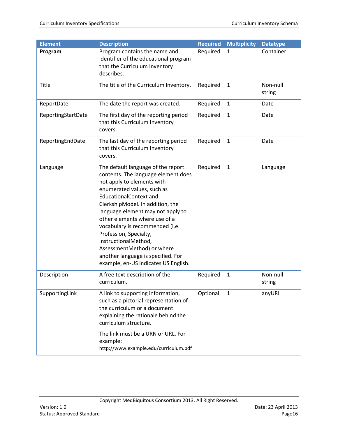| <b>Description</b>                                                                                                                                                                                                                                                                                                                                                                                                                                                                | <b>Required</b>                       | <b>Multiplicity</b> | <b>Datatype</b>    |
|-----------------------------------------------------------------------------------------------------------------------------------------------------------------------------------------------------------------------------------------------------------------------------------------------------------------------------------------------------------------------------------------------------------------------------------------------------------------------------------|---------------------------------------|---------------------|--------------------|
| Program contains the name and<br>identifier of the educational program<br>that the Curriculum Inventory<br>describes.                                                                                                                                                                                                                                                                                                                                                             | Required                              | 1                   | Container          |
| The title of the Curriculum Inventory.                                                                                                                                                                                                                                                                                                                                                                                                                                            | Required                              | $\mathbf{1}$        | Non-null<br>string |
| The date the report was created.                                                                                                                                                                                                                                                                                                                                                                                                                                                  | Required                              | $\mathbf{1}$        | Date               |
| The first day of the reporting period<br>that this Curriculum Inventory<br>covers.                                                                                                                                                                                                                                                                                                                                                                                                | Required                              | $\mathbf{1}$        | Date               |
| The last day of the reporting period<br>that this Curriculum Inventory<br>covers.                                                                                                                                                                                                                                                                                                                                                                                                 | Required                              | $\mathbf{1}$        | Date               |
| The default language of the report<br>contents. The language element does<br>not apply to elements with<br>enumerated values, such as<br><b>EducationalContext and</b><br>ClerkshipModel. In addition, the<br>language element may not apply to<br>other elements where use of a<br>vocabulary is recommended (i.e.<br>Profession, Specialty,<br>InstructionalMethod,<br>AssessmentMethod) or where<br>another language is specified. For<br>example, en-US indicates US English. | Required                              | $\mathbf{1}$        | Language           |
| A free text description of the<br>curriculum.                                                                                                                                                                                                                                                                                                                                                                                                                                     | Required                              | 1                   | Non-null<br>string |
| A link to supporting information,<br>such as a pictorial representation of<br>the curriculum or a document<br>explaining the rationale behind the<br>curriculum structure.<br>The link must be a URN or URL. For<br>example:                                                                                                                                                                                                                                                      | Optional                              | $\mathbf{1}$        | anyURI             |
|                                                                                                                                                                                                                                                                                                                                                                                                                                                                                   | http://www.example.edu/curriculum.pdf |                     |                    |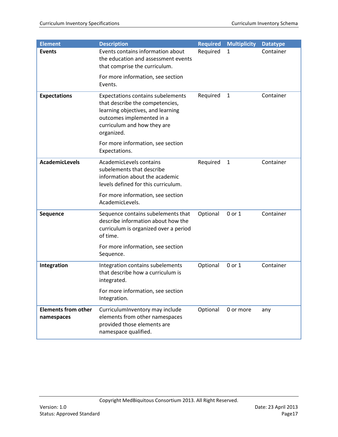| <b>Element</b>                           | <b>Description</b>                                                                                                                                                                         | <b>Required</b> | <b>Multiplicity</b> | <b>Datatype</b> |
|------------------------------------------|--------------------------------------------------------------------------------------------------------------------------------------------------------------------------------------------|-----------------|---------------------|-----------------|
| <b>Events</b>                            | Events contains information about<br>the education and assessment events<br>that comprise the curriculum.                                                                                  | Required        | $\mathbf{1}$        | Container       |
|                                          | For more information, see section<br>Events.                                                                                                                                               |                 |                     |                 |
| <b>Expectations</b>                      | <b>Expectations contains subelements</b><br>that describe the competencies,<br>learning objectives, and learning<br>outcomes implemented in a<br>curriculum and how they are<br>organized. | Required        | $\mathbf{1}$        | Container       |
|                                          | For more information, see section<br>Expectations.                                                                                                                                         |                 |                     |                 |
| <b>AcademicLevels</b>                    | AcademicLevels contains<br>subelements that describe<br>information about the academic<br>levels defined for this curriculum.                                                              | Required        | $\mathbf{1}$        | Container       |
|                                          | For more information, see section<br>AcademicLevels.                                                                                                                                       |                 |                     |                 |
| Sequence                                 | Sequence contains subelements that<br>describe information about how the<br>curriculum is organized over a period<br>of time.                                                              | Optional        | 0 or 1              | Container       |
|                                          | For more information, see section<br>Sequence.                                                                                                                                             |                 |                     |                 |
| Integration                              | Integration contains subelements<br>that describe how a curriculum is<br>integrated.                                                                                                       | Optional        | 0 or 1              | Container       |
|                                          | For more information, see section<br>Integration.                                                                                                                                          |                 |                     |                 |
| <b>Elements from other</b><br>namespaces | CurriculumInventory may include<br>elements from other namespaces<br>provided those elements are<br>namespace qualified.                                                                   | Optional        | 0 or more           | any             |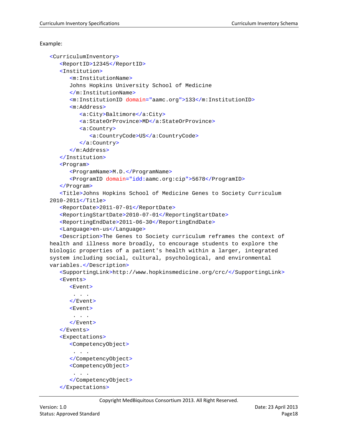```
<CurriculumInventory>
   <ReportID>12345</ReportID>
   <Institution>
      <m:InstitutionName>
      Johns Hopkins University School of Medicine
      </m:InstitutionName>
      <m:InstitutionID domain="aamc.org">133</m:InstitutionID>
      <m:Address>
         <a:City>Baltimore</a:City>
         <a:StateOrProvince>MD</a:StateOrProvince>
         <a:Country>
            <a:CountryCode>US</a:CountryCode>
         </a:Country>
      </m:Address>
   </Institution>
   <Program>
      <ProgramName>M.D.</ProgramName>
      <ProgramID domain="idd:aamc.org:cip">5678</ProgramID>
   </Program>
   <Title>Johns Hopkins School of Medicine Genes to Society Curriculum 
2010-2011</Title>
   <ReportDate>2011-07-01</ReportDate>
   <ReportingStartDate>2010-07-01</ReportingStartDate>
   <ReportingEndDate>2011-06-30</ReportingEndDate>
   <Language>en-us</Language>
   <Description>The Genes to Society curriculum reframes the context of 
health and illness more broadly, to encourage students to explore the 
biologic properties of a patient's health within a larger, integrated 
system including social, cultural, psychological, and environmental 
variables.</Description>
   <SupportingLink>http://www.hopkinsmedicine.org/crc/</SupportingLink>
   <Events>
      <Event>
       . . . .
      </Event>
      <Event>
       . . .
      </Event>
   </Events>
   <Expectations>
      <CompetencyObject>
       . . .
      </CompetencyObject>
      <CompetencyObject>
       . . .
      </CompetencyObject>
```

```
</Expectations>
```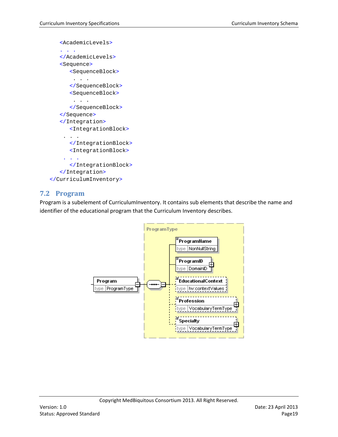```
<AcademicLevels>
   . . .
   </AcademicLevels>
   <Sequence>
      <SequenceBlock>
       . . .
      </SequenceBlock>
      <SequenceBlock>
       . . .
      </SequenceBlock>
   </Sequence>
   </Integration>
      <IntegrationBlock>
    . . .
      </IntegrationBlock>
      <IntegrationBlock>
     . . .
      </IntegrationBlock>
   </Integration>
</CurriculumInventory>
```
# <span id="page-18-0"></span>**7.2 Program**

Program is a subelement of CurriculumInventory. It contains sub elements that describe the name and identifier of the educational program that the Curriculum Inventory describes.

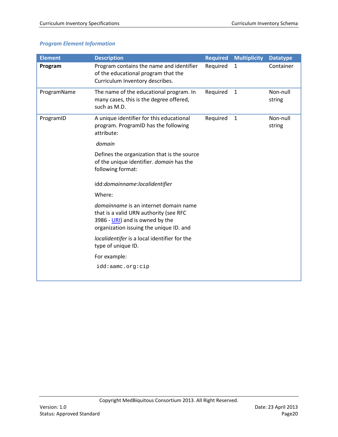# *Program Element Information*

| <b>Element</b> | <b>Description</b>                                                                                                                                            | <b>Required</b> | <b>Multiplicity</b> | <b>Datatype</b>    |
|----------------|---------------------------------------------------------------------------------------------------------------------------------------------------------------|-----------------|---------------------|--------------------|
| Program        | Program contains the name and identifier<br>of the educational program that the<br>Curriculum Inventory describes.                                            | Required        | $\mathbf{1}$        | Container          |
| ProgramName    | The name of the educational program. In<br>many cases, this is the degree offered,<br>such as M.D.                                                            | Required        | $\mathbf{1}$        | Non-null<br>string |
| ProgramID      | A unique identifier for this educational<br>program. ProgramID has the following<br>attribute:                                                                | Required        | $\mathbf{1}$        | Non-null<br>string |
|                | domain                                                                                                                                                        |                 |                     |                    |
|                | Defines the organization that is the source<br>of the unique identifier. domain has the<br>following format:                                                  |                 |                     |                    |
|                | idd:domainname:localidentifier                                                                                                                                |                 |                     |                    |
|                | Where:                                                                                                                                                        |                 |                     |                    |
|                | domainname is an internet domain name<br>that is a valid URN authority (see RFC<br>3986 - URI) and is owned by the<br>organization issuing the unique ID. and |                 |                     |                    |
|                | localidentifer is a local identifier for the<br>type of unique ID.                                                                                            |                 |                     |                    |
|                | For example:                                                                                                                                                  |                 |                     |                    |
|                | idd:aamc.org:cip                                                                                                                                              |                 |                     |                    |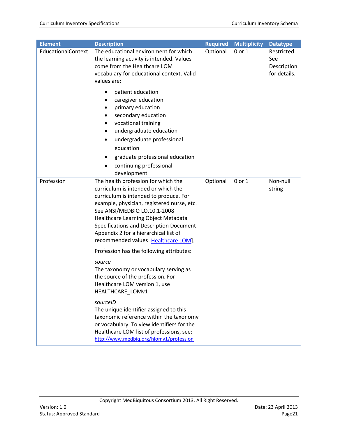| <b>Element</b>     | <b>Description</b>                                                                                                                                                                                                                                                                                                                                                    | <b>Required</b> | <b>Multiplicity</b> | <b>Datatype</b>                                  |
|--------------------|-----------------------------------------------------------------------------------------------------------------------------------------------------------------------------------------------------------------------------------------------------------------------------------------------------------------------------------------------------------------------|-----------------|---------------------|--------------------------------------------------|
| EducationalContext | The educational environment for which<br>the learning activity is intended. Values<br>come from the Healthcare LOM<br>vocabulary for educational context. Valid<br>values are:                                                                                                                                                                                        | Optional        | 0 or 1              | Restricted<br>See<br>Description<br>for details. |
|                    | patient education<br>caregiver education<br>primary education<br>$\bullet$<br>secondary education<br>vocational training<br>undergraduate education<br>$\bullet$<br>undergraduate professional<br>٠<br>education<br>graduate professional education<br>٠<br>continuing professional<br>$\bullet$<br>development                                                       |                 |                     |                                                  |
| Profession         | The health profession for which the<br>curriculum is intended or which the<br>curriculum is intended to produce. For<br>example, physician, registered nurse, etc.<br>See ANSI/MEDBIQ LO.10.1-2008<br>Healthcare Learning Object Metadata<br>Specifications and Description Document<br>Appendix 2 for a hierarchical list of<br>recommended values [Healthcare LOM]. | Optional        | 0 or 1              | Non-null<br>string                               |
|                    | Profession has the following attributes:<br>source<br>The taxonomy or vocabulary serving as<br>the source of the profession. For<br>Healthcare LOM version 1, use<br>HEALTHCARE_LOMv1                                                                                                                                                                                 |                 |                     |                                                  |
|                    | sourceID<br>The unique identifier assigned to this<br>taxonomic reference within the taxonomy<br>or vocabulary. To view identifiers for the<br>Healthcare LOM list of professions, see:<br>http://www.medbiq.org/hlomv1/profession                                                                                                                                    |                 |                     |                                                  |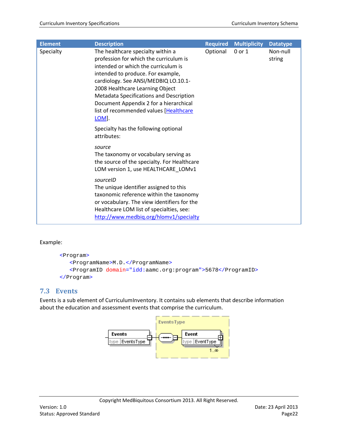| <b>Element</b> | <b>Description</b>                                                                                                                                                                                                                                                                                                                                                                 | <b>Required</b> | <b>Multiplicity</b> | <b>Datatype</b>    |
|----------------|------------------------------------------------------------------------------------------------------------------------------------------------------------------------------------------------------------------------------------------------------------------------------------------------------------------------------------------------------------------------------------|-----------------|---------------------|--------------------|
| Specialty      | The healthcare specialty within a<br>profession for which the curriculum is<br>intended or which the curriculum is<br>intended to produce. For example,<br>cardiology. See ANSI/MEDBIQ LO.10.1-<br>2008 Healthcare Learning Object<br>Metadata Specifications and Description<br>Document Appendix 2 for a hierarchical<br>list of recommended values [Healthcare<br><b>LOM</b> ]. | Optional        | 0 or 1              | Non-null<br>string |
|                | Specialty has the following optional<br>attributes:                                                                                                                                                                                                                                                                                                                                |                 |                     |                    |
|                | source<br>The taxonomy or vocabulary serving as<br>the source of the specialty. For Healthcare<br>LOM version 1, use HEALTHCARE_LOMv1                                                                                                                                                                                                                                              |                 |                     |                    |
|                | sourceID<br>The unique identifier assigned to this<br>taxonomic reference within the taxonomy<br>or vocabulary. The view identifiers for the<br>Healthcare LOM list of specialties, see:<br>http://www.medbig.org/hlomv1/specialty                                                                                                                                                 |                 |                     |                    |

```
<Program>
  <ProgramName>M.D.</ProgramName>
   <ProgramID domain="idd:aamc.org:program">5678</ProgramID>
</Program>
```
# <span id="page-21-0"></span>**7.3 Events**

Events is a sub element of CurriculumInventory. It contains sub elements that describe information about the education and assessment events that comprise the curriculum.

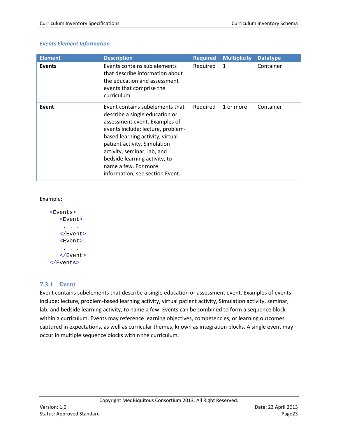## *Events Element Information*

| <b>Element</b> | <b>Description</b>                                                                                                                                                                                                                                                                                                                     | <b>Required</b> | <b>Multiplicity</b> | <b>Datatype</b> |
|----------------|----------------------------------------------------------------------------------------------------------------------------------------------------------------------------------------------------------------------------------------------------------------------------------------------------------------------------------------|-----------------|---------------------|-----------------|
| <b>Events</b>  | Events contains sub elements<br>that describe information about<br>the education and assessment<br>events that comprise the<br>curriculum                                                                                                                                                                                              | Required        | $\mathbf{1}$        | Container       |
| Event          | Event contains subelements that<br>describe a single education or<br>assessment event. Examples of<br>events include: lecture, problem-<br>based learning activity, virtual<br>patient activity, Simulation<br>activity, seminar, lab, and<br>bedside learning activity, to<br>name a few. For more<br>information, see section Event. | Required        | 1 or more           | Container       |

#### Example:

```
<Events>
   <Event>
    . . .
   </Event>
   <Event>
    . . . .
   </Event>
</Events>
```
## <span id="page-22-0"></span>**7.3.1 Event**

Event contains subelements that describe a single education or assessment event. Examples of events include: lecture, problem-based learning activity, virtual patient activity, Simulation activity, seminar, lab, and bedside learning activity, to name a few. Events can be combined to form a sequence block within a curriculum. Events may reference learning objectives, competencies, or learning outcomes captured in expectations, as well as curricular themes, known as integration blocks. A single event may occur in multiple sequence blocks within the curriculum.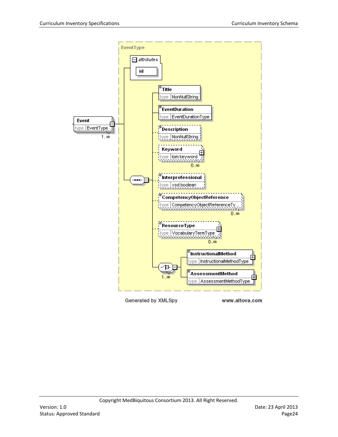

Generated by XMLSpy

www.altova.com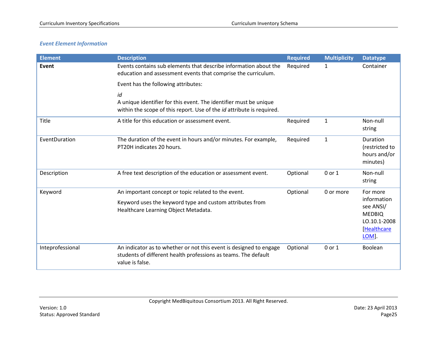# *Event Element Information*

| <b>Element</b>   | <b>Description</b>                                                                                                                                      | <b>Required</b> | <b>Multiplicity</b> | <b>Datatype</b>                                                                   |
|------------------|---------------------------------------------------------------------------------------------------------------------------------------------------------|-----------------|---------------------|-----------------------------------------------------------------------------------|
| Event            | Events contains sub elements that describe information about the<br>education and assessment events that comprise the curriculum.                       | Required        | $\mathbf{1}$        | Container                                                                         |
|                  | Event has the following attributes:                                                                                                                     |                 |                     |                                                                                   |
|                  | id<br>A unique identifier for this event. The identifier must be unique<br>within the scope of this report. Use of the id attribute is required.        |                 |                     |                                                                                   |
| Title            | A title for this education or assessment event.                                                                                                         | Required        | $\mathbf{1}$        | Non-null<br>string                                                                |
| EventDuration    | The duration of the event in hours and/or minutes. For example,<br>PT20H indicates 20 hours.                                                            | Required        | $\mathbf{1}$        | Duration<br>(restricted to<br>hours and/or<br>minutes)                            |
| Description      | A free text description of the education or assessment event.                                                                                           | Optional        | 0 or 1              | Non-null<br>string                                                                |
| Keyword          | An important concept or topic related to the event.                                                                                                     | Optional        | 0 or more           | For more                                                                          |
|                  | Keyword uses the keyword type and custom attributes from<br>Healthcare Learning Object Metadata.                                                        |                 |                     | information<br>see ANSI/<br><b>MEDBIQ</b><br>LO.10.1-2008<br>[Healthcare<br>LOM]. |
| Inteprofessional | An indicator as to whether or not this event is designed to engage<br>students of different health professions as teams. The default<br>value is false. | Optional        | 0 or 1              | Boolean                                                                           |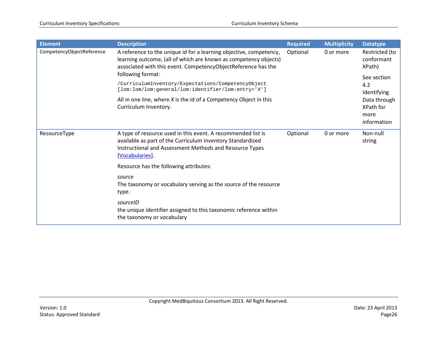| <b>Element</b>            | <b>Description</b>                                                                                                                                                                                       | <b>Required</b> | <b>Multiplicity</b> | <b>Datatype</b>                                  |
|---------------------------|----------------------------------------------------------------------------------------------------------------------------------------------------------------------------------------------------------|-----------------|---------------------|--------------------------------------------------|
| CompetencyObjectReference | A reference to the unique id for a learning objective, competency,<br>learning outcome, (all of which are known as competency objects)<br>associated with this event. CompetencyObjectReference has the  | Optional        | 0 or more           | Restricted (to<br>conformant<br>XPath)           |
|                           | following format:                                                                                                                                                                                        |                 |                     | See section                                      |
|                           | /CurriculumInventory/Expectations/CompetencyObject<br>[lom:lom/lom:general/lom:identifier/lom:entry='X']                                                                                                 |                 | 4.2<br>Identifying  |                                                  |
|                           | All in one line, where $X$ is the id of a Competency Object in this<br>Curriculum Inventory.                                                                                                             |                 |                     | Data through<br>XPath for<br>more<br>information |
| ResourceType              | A type of resource used in this event. A recommended list is<br>available as part of the Curriculum Inventory Standardized<br>Instructional and Assessment Methods and Resource Types<br>[Vocabularies]. | Optional        | 0 or more           | Non-null<br>string                               |
|                           | Resource has the following attributes:                                                                                                                                                                   |                 |                     |                                                  |
|                           | source<br>The taxonomy or vocabulary serving as the source of the resource<br>type.                                                                                                                      |                 |                     |                                                  |
|                           | sourceID<br>the unique identifier assigned to this taxonomic reference within<br>the taxonomy or vocabulary                                                                                              |                 |                     |                                                  |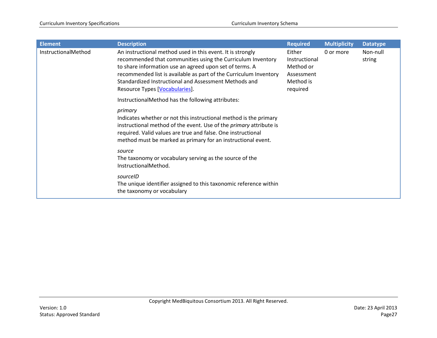| <b>Element</b>      | <b>Description</b>                                                                                                                                                                                                                                                                                                                                   | <b>Required</b>                                                             | <b>Multiplicity</b> | <b>Datatype</b>    |
|---------------------|------------------------------------------------------------------------------------------------------------------------------------------------------------------------------------------------------------------------------------------------------------------------------------------------------------------------------------------------------|-----------------------------------------------------------------------------|---------------------|--------------------|
| InstructionalMethod | An instructional method used in this event. It is strongly<br>recommended that communities using the Curriculum Inventory<br>to share information use an agreed upon set of terms. A<br>recommended list is available as part of the Curriculum Inventory<br>Standardized Instructional and Assessment Methods and<br>Resource Types [Vocabularies]. | Either<br>Instructional<br>Method or<br>Assessment<br>Method is<br>required | 0 or more           | Non-null<br>string |
|                     | InstructionalMethod has the following attributes:                                                                                                                                                                                                                                                                                                    |                                                                             |                     |                    |
|                     | primary<br>Indicates whether or not this instructional method is the primary<br>instructional method of the event. Use of the <i>primary</i> attribute is<br>required. Valid values are true and false. One instructional<br>method must be marked as primary for an instructional event.                                                            |                                                                             |                     |                    |
|                     | source<br>The taxonomy or vocabulary serving as the source of the<br>InstructionalMethod.                                                                                                                                                                                                                                                            |                                                                             |                     |                    |
|                     | sourceID<br>The unique identifier assigned to this taxonomic reference within<br>the taxonomy or vocabulary                                                                                                                                                                                                                                          |                                                                             |                     |                    |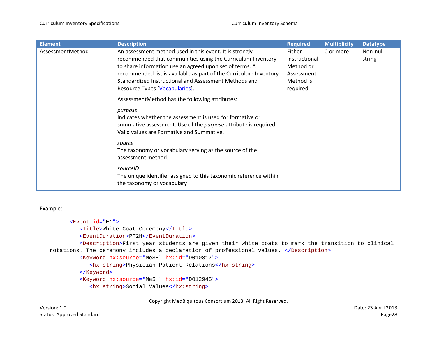| <b>Element</b>   | <b>Description</b>                                                                                                                                                                                                                                                                                                                                | <b>Required</b>                                                             | <b>Multiplicity</b> | <b>Datatype</b>    |
|------------------|---------------------------------------------------------------------------------------------------------------------------------------------------------------------------------------------------------------------------------------------------------------------------------------------------------------------------------------------------|-----------------------------------------------------------------------------|---------------------|--------------------|
| AssessmentMethod | An assessment method used in this event. It is strongly<br>recommended that communities using the Curriculum Inventory<br>to share information use an agreed upon set of terms. A<br>recommended list is available as part of the Curriculum Inventory<br>Standardized Instructional and Assessment Methods and<br>Resource Types [Vocabularies]. | Either<br>Instructional<br>Method or<br>Assessment<br>Method is<br>required | 0 or more           | Non-null<br>string |
|                  | AssessmentMethod has the following attributes:                                                                                                                                                                                                                                                                                                    |                                                                             |                     |                    |
|                  | purpose<br>Indicates whether the assessment is used for formative or<br>summative assessment. Use of the <i>purpose</i> attribute is required.<br>Valid values are Formative and Summative.                                                                                                                                                       |                                                                             |                     |                    |
|                  | source<br>The taxonomy or vocabulary serving as the source of the<br>assessment method.                                                                                                                                                                                                                                                           |                                                                             |                     |                    |
|                  | sourceID<br>The unique identifier assigned to this taxonomic reference within<br>the taxonomy or vocabulary                                                                                                                                                                                                                                       |                                                                             |                     |                    |

```
<Event id="E1">
         <Title>White Coat Ceremony</Title>
         <EventDuration>PT2H</EventDuration>
        <Description>First year students are given their white coats to mark the transition to clinical 
rotations. The ceremony includes a declaration of professional values. </Description>
         <Keyword hx:source="MeSH" hx:id="D010817">
           <hx:string>Physician-Patient Relations</hx:string>
         </Keyword>
         <Keyword hx:source="MeSH" hx:id="D012945">
            <hx:string>Social Values</hx:string>
```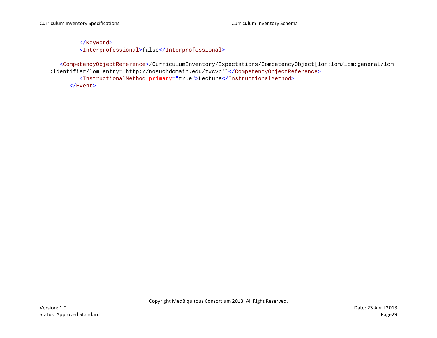</Keyword> <Interprofessional>false</Interprofessional>

<CompetencyObjectReference>/CurriculumInventory/Expectations/CompetencyObject[lom:lom/lom:general/lom :identifier/lom:entry='http://nosuchdomain.edu/zxcvb']</CompetencyObjectReference> <InstructionalMethod primary="true">Lecture</InstructionalMethod>

</Event>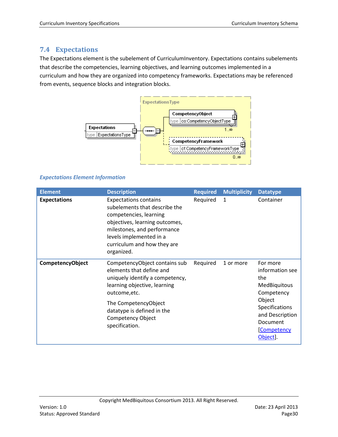# <span id="page-29-0"></span>**7.4 Expectations**

The Expectations element is the subelement of CurriculumInventory. Expectations contains subelements that describe the competencies, learning objectives, and learning outcomes implemented in a curriculum and how they are organized into competency frameworks. Expectations may be referenced from events, sequence blocks and integration blocks.



# *Expectations Element Information*

| <b>Element</b>      | <b>Description</b>                                                                                                                                                                                                                         | <b>Required</b> | <b>Multiplicity</b> | <b>Datatype</b>                                                                                                                                                     |
|---------------------|--------------------------------------------------------------------------------------------------------------------------------------------------------------------------------------------------------------------------------------------|-----------------|---------------------|---------------------------------------------------------------------------------------------------------------------------------------------------------------------|
| <b>Expectations</b> | <b>Expectations contains</b><br>subelements that describe the<br>competencies, learning<br>objectives, learning outcomes,<br>milestones, and performance<br>levels implemented in a<br>curriculum and how they are<br>organized.           | Required        | 1                   | Container                                                                                                                                                           |
| CompetencyObject    | CompetencyObject contains sub<br>elements that define and<br>uniquely identify a competency,<br>learning objective, learning<br>outcome, etc.<br>The CompetencyObject<br>datatype is defined in the<br>Competency Object<br>specification. | Required        | 1 or more           | For more<br>information see<br>the<br><b>MedBiquitous</b><br>Competency<br>Object<br>Specifications<br>and Description<br>Document<br><b>Competency</b><br>Object]. |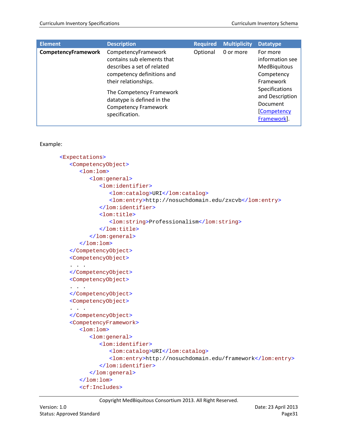| <b>Element</b>      | <b>Description</b>                                                                                                                                                                                                                               | <b>Required</b> | <b>Multiplicity</b> | <b>Datatype</b>                                                                                                                                                    |
|---------------------|--------------------------------------------------------------------------------------------------------------------------------------------------------------------------------------------------------------------------------------------------|-----------------|---------------------|--------------------------------------------------------------------------------------------------------------------------------------------------------------------|
| CompetencyFramework | CompetencyFramework<br>contains sub elements that<br>describes a set of related<br>competency definitions and<br>their relationships.<br>The Competency Framework<br>datatype is defined in the<br><b>Competency Framework</b><br>specification. | Optional        | 0 or more           | For more<br>information see<br>MedBiquitous<br>Competency<br>Framework<br>Specifications<br>and Description<br><b>Document</b><br><b>Competency</b><br>Framework]. |

```
<Expectations>
   <CompetencyObject>
      <lom:lom>
         <lom:general>
            <lom:identifier>
               <lom:catalog>URI</lom:catalog>
               <lom:entry>http://nosuchdomain.edu/zxcvb</lom:entry>
            </lom:identifier>
            <lom:title>
               <lom:string>Professionalism</lom:string>
            </lom:title>
         </lom:general>
      </lom:lom>
   </CompetencyObject>
   <CompetencyObject>
   . . . 
   </CompetencyObject>
   <CompetencyObject>
   . . . 
   </CompetencyObject>
   <CompetencyObject>
   . . . 
   </CompetencyObject>
   <CompetencyFramework>
      <lom:lom>
         <lom:general>
            <lom:identifier>
               <lom:catalog>URI</lom:catalog>
               <lom:entry>http://nosuchdomain.edu/framework</lom:entry>
            </lom:identifier>
         </lom:general>
      </lom:lom>
      <cf:Includes>
```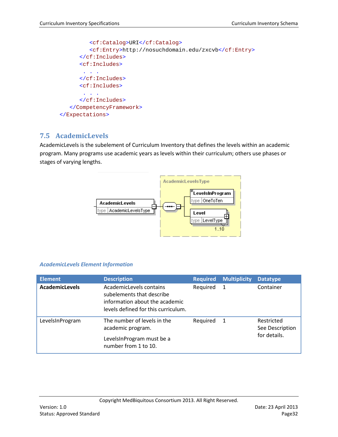```
<cf:Catalog>URI</cf:Catalog>
         <cf:Entry>http://nosuchdomain.edu/zxcvb</cf:Entry>
      </cf:Includes>
      <cf:Includes>
       . . .
      </cf:Includes>
      <cf:Includes>
       . . .
      </cf:Includes>
   </CompetencyFramework>
</Expectations>
```
# <span id="page-31-0"></span>**7.5 AcademicLevels**

AcademicLevels is the subelement of Curriculum Inventory that defines the levels within an academic program. Many programs use academic years as levels within their curriculum; others use phases or stages of varying lengths.



# *AcademicLevels Element Information*

| <b>Element</b>        | <b>Description</b>                                                                                                            | <b>Required</b> | <b>Multiplicity</b> | <b>Datatype</b>                               |
|-----------------------|-------------------------------------------------------------------------------------------------------------------------------|-----------------|---------------------|-----------------------------------------------|
| <b>AcademicLevels</b> | AcademicLevels contains<br>subelements that describe<br>information about the academic<br>levels defined for this curriculum. | Required        | -1                  | Container                                     |
| LevelsInProgram       | The number of levels in the<br>academic program.<br>LevelsInProgram must be a<br>number from 1 to 10.                         | Reguired        | -1                  | Restricted<br>See Description<br>for details. |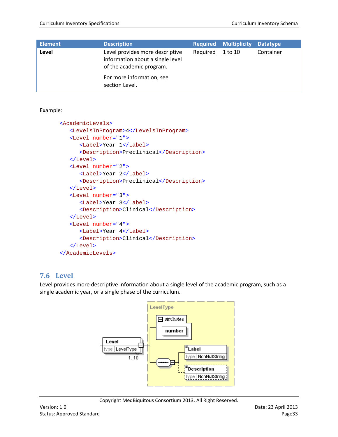| <b>Element</b> | <b>Description</b>                                                                              | <b>Required</b> | <b>Multiplicity</b> | <b>Datatype</b> |
|----------------|-------------------------------------------------------------------------------------------------|-----------------|---------------------|-----------------|
| Level          | Level provides more descriptive<br>information about a single level<br>of the academic program. | Reguired        | 1 to 10             | Container       |
|                | For more information, see<br>section Level.                                                     |                 |                     |                 |

```
<AcademicLevels>
   <LevelsInProgram>4</LevelsInProgram>
   <Level number="1">
      <Label>Year 1</Label>
      <Description>Preclinical</Description>
   </Level>
   <Level number="2">
      <Label>Year 2</Label>
      <Description>Preclinical</Description>
   </Level>
   <Level number="3">
      <Label>Year 3</Label>
      <Description>Clinical</Description>
   </Level>
   <Level number="4">
      <Label>Year 4</Label>
      <Description>Clinical</Description>
   </Level>
</AcademicLevels>
```
# <span id="page-32-0"></span>**7.6 Level**

Level provides more descriptive information about a single level of the academic program, such as a single academic year, or a single phase of the curriculum.

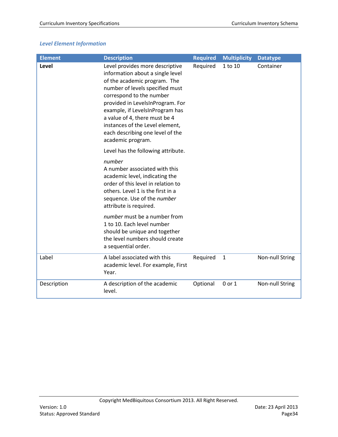# *Level Element Information*

| <b>Element</b> | <b>Description</b>                                                                                                                                                                                                                                                                                                                                                     | <b>Required</b> | <b>Multiplicity</b> | <b>Datatype</b> |
|----------------|------------------------------------------------------------------------------------------------------------------------------------------------------------------------------------------------------------------------------------------------------------------------------------------------------------------------------------------------------------------------|-----------------|---------------------|-----------------|
| Level          | Level provides more descriptive<br>information about a single level<br>of the academic program. The<br>number of levels specified must<br>correspond to the number<br>provided in LevelsInProgram. For<br>example, if LevelsInProgram has<br>a value of 4, there must be 4<br>instances of the Level element,<br>each describing one level of the<br>academic program. | Required        | 1 to 10             | Container       |
|                | Level has the following attribute.                                                                                                                                                                                                                                                                                                                                     |                 |                     |                 |
|                | number<br>A number associated with this<br>academic level, indicating the<br>order of this level in relation to<br>others. Level 1 is the first in a<br>sequence. Use of the number<br>attribute is required.                                                                                                                                                          |                 |                     |                 |
|                | <i>number</i> must be a number from<br>1 to 10. Each level number<br>should be unique and together<br>the level numbers should create<br>a sequential order.                                                                                                                                                                                                           |                 |                     |                 |
| Label          | A label associated with this<br>academic level. For example, First<br>Year.                                                                                                                                                                                                                                                                                            | Required        | $\mathbf{1}$        | Non-null String |
| Description    | A description of the academic<br>level.                                                                                                                                                                                                                                                                                                                                | Optional        | 0 or 1              | Non-null String |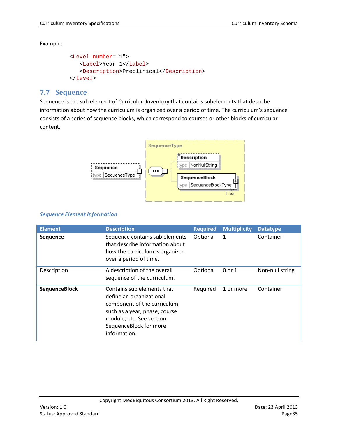```
<Level number="1">
  <Label>Year 1</Label>
  <Description>Preclinical</Description>
</Level>
```
# <span id="page-34-0"></span>**7.7 Sequence**

Sequence is the sub element of CurriculumInventory that contains subelements that describe information about how the curriculum is organized over a period of time. The curriculum's sequence consists of a series of sequence blocks, which correspond to courses or other blocks of curricular content.



# *Sequence Element Information*

| <b>Element</b>       | <b>Description</b>                                                                                                                                                                            | <b>Required</b> | <b>Multiplicity</b> | <b>Datatype</b> |
|----------------------|-----------------------------------------------------------------------------------------------------------------------------------------------------------------------------------------------|-----------------|---------------------|-----------------|
| <b>Sequence</b>      | Sequence contains sub elements<br>that describe information about<br>how the curriculum is organized<br>over a period of time.                                                                | Optional        | 1                   | Container       |
| Description          | A description of the overall<br>sequence of the curriculum.                                                                                                                                   | Optional        | $0$ or $1$          | Non-null string |
| <b>SequenceBlock</b> | Contains sub elements that<br>define an organizational<br>component of the curriculum,<br>such as a year, phase, course<br>module, etc. See section<br>SequenceBlock for more<br>information. | Required        | 1 or more           | Container       |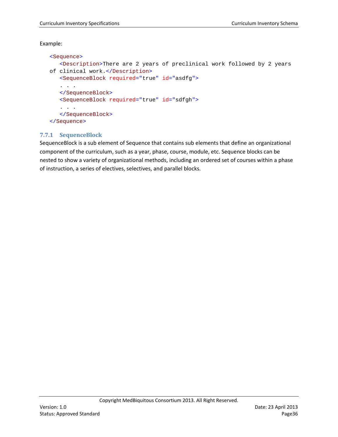```
<Sequence>
   <Description>There are 2 years of preclinical work followed by 2 years 
of clinical work.</Description>
   <SequenceBlock required="true" id="asdfg">
   . . . 
   </SequenceBlock>
   <SequenceBlock required="true" id="sdfgh">
   . . . 
   </SequenceBlock>
</Sequence>
```
# <span id="page-35-0"></span>**7.7.1 SequenceBlock**

SequenceBlock is a sub element of Sequence that contains sub elements that define an organizational component of the curriculum, such as a year, phase, course, module, etc. Sequence blocks can be nested to show a variety of organizational methods, including an ordered set of courses within a phase of instruction, a series of electives, selectives, and parallel blocks.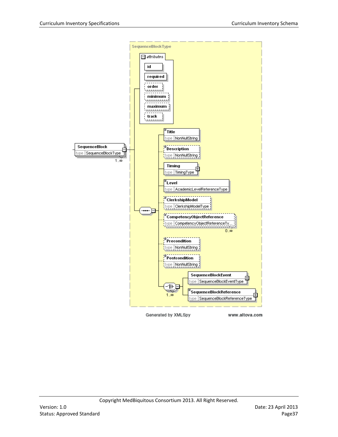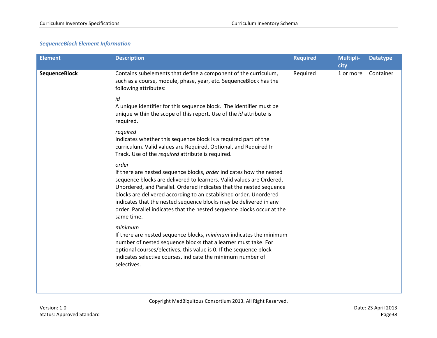# *SequenceBlock Element Information*

| <b>Element</b>       | <b>Description</b>                                                                                                                                                                                                                                                                                                                                                                                                                                            | <b>Required</b> | <b>Multipli-</b><br>city | <b>Datatype</b> |
|----------------------|---------------------------------------------------------------------------------------------------------------------------------------------------------------------------------------------------------------------------------------------------------------------------------------------------------------------------------------------------------------------------------------------------------------------------------------------------------------|-----------------|--------------------------|-----------------|
| <b>SequenceBlock</b> | Contains subelements that define a component of the curriculum,<br>such as a course, module, phase, year, etc. SequenceBlock has the<br>following attributes:                                                                                                                                                                                                                                                                                                 | Required        | 1 or more                | Container       |
|                      | id<br>A unique identifier for this sequence block. The identifier must be<br>unique within the scope of this report. Use of the id attribute is<br>required.                                                                                                                                                                                                                                                                                                  |                 |                          |                 |
|                      | required<br>Indicates whether this sequence block is a required part of the<br>curriculum. Valid values are Required, Optional, and Required In<br>Track. Use of the required attribute is required.                                                                                                                                                                                                                                                          |                 |                          |                 |
|                      | order<br>If there are nested sequence blocks, order indicates how the nested<br>sequence blocks are delivered to learners. Valid values are Ordered,<br>Unordered, and Parallel. Ordered indicates that the nested sequence<br>blocks are delivered according to an established order. Unordered<br>indicates that the nested sequence blocks may be delivered in any<br>order. Parallel indicates that the nested sequence blocks occur at the<br>same time. |                 |                          |                 |
|                      | minimum<br>If there are nested sequence blocks, minimum indicates the minimum<br>number of nested sequence blocks that a learner must take. For<br>optional courses/electives, this value is 0. If the sequence block<br>indicates selective courses, indicate the minimum number of<br>selectives.                                                                                                                                                           |                 |                          |                 |
|                      |                                                                                                                                                                                                                                                                                                                                                                                                                                                               |                 |                          |                 |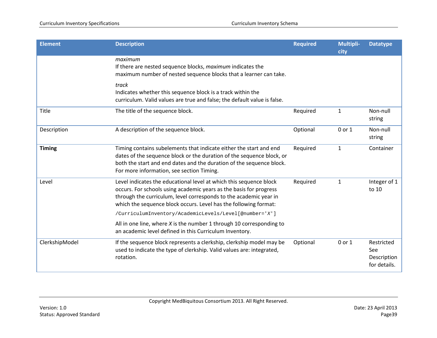| <b>Element</b> | <b>Description</b>                                                                                                                                                                                                                                                                | <b>Required</b> | <b>Multipli-</b><br>city | <b>Datatype</b>                                  |
|----------------|-----------------------------------------------------------------------------------------------------------------------------------------------------------------------------------------------------------------------------------------------------------------------------------|-----------------|--------------------------|--------------------------------------------------|
|                | maximum<br>If there are nested sequence blocks, maximum indicates the<br>maximum number of nested sequence blocks that a learner can take.                                                                                                                                        |                 |                          |                                                  |
|                | track<br>Indicates whether this sequence block is a track within the<br>curriculum. Valid values are true and false; the default value is false.                                                                                                                                  |                 |                          |                                                  |
| Title          | The title of the sequence block.                                                                                                                                                                                                                                                  | Required        | $\mathbf{1}$             | Non-null<br>string                               |
| Description    | A description of the sequence block.                                                                                                                                                                                                                                              | Optional        | 0 or 1                   | Non-null<br>string                               |
| <b>Timing</b>  | Timing contains subelements that indicate either the start and end<br>dates of the sequence block or the duration of the sequence block, or<br>both the start and end dates and the duration of the sequence block.<br>For more information, see section Timing.                  | Required        | $\mathbf{1}$             | Container                                        |
| Level          | Level indicates the educational level at which this sequence block<br>occurs. For schools using academic years as the basis for progress<br>through the curriculum, level corresponds to the academic year in<br>which the sequence block occurs. Level has the following format: | Required        | $\mathbf{1}$             | Integer of 1<br>to 10                            |
|                | /CurriculumInventory/AcademicLevels/Level[@number='X']<br>All in one line, where $X$ is the number 1 through 10 corresponding to<br>an academic level defined in this Curriculum Inventory.                                                                                       |                 |                          |                                                  |
| ClerkshipModel | If the sequence block represents a clerkship, clerkship model may be<br>used to indicate the type of clerkship. Valid values are: integrated,<br>rotation.                                                                                                                        | Optional        | 0 or 1                   | Restricted<br>See<br>Description<br>for details. |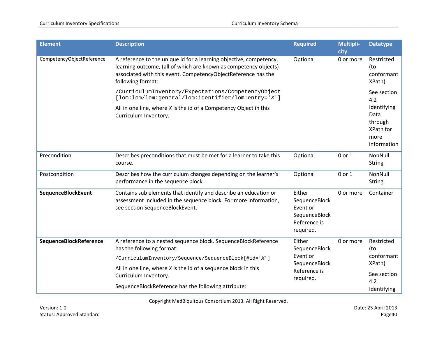| <b>Element</b>            | <b>Description</b>                                                                                                                                                                                                           | <b>Required</b>                                                                   | <b>Multipli-</b><br>city | <b>Datatype</b>                                                    |
|---------------------------|------------------------------------------------------------------------------------------------------------------------------------------------------------------------------------------------------------------------------|-----------------------------------------------------------------------------------|--------------------------|--------------------------------------------------------------------|
| CompetencyObjectReference | A reference to the unique id for a learning objective, competency,<br>learning outcome, (all of which are known as competency objects)<br>associated with this event. CompetencyObjectReference has the<br>following format: | Optional                                                                          | 0 or more                | Restricted<br>(to<br>conformant<br>XPath)                          |
|                           | /CurriculumInventory/Expectations/CompetencyObject<br>[lom:lom/lom:general/lom:identifier/lom:entry='X']                                                                                                                     |                                                                                   |                          | See section<br>4.2                                                 |
|                           | All in one line, where $X$ is the id of a Competency Object in this<br>Curriculum Inventory.                                                                                                                                 |                                                                                   |                          | Identifying<br>Data<br>through<br>XPath for<br>more<br>information |
| Precondition              | Describes preconditions that must be met for a learner to take this<br>course.                                                                                                                                               | Optional                                                                          | 0 or 1                   | NonNull<br><b>String</b>                                           |
| Postcondition             | Describes how the curriculum changes depending on the learner's<br>performance in the sequence block.                                                                                                                        | Optional                                                                          | 0 or 1                   | NonNull<br><b>String</b>                                           |
| SequenceBlockEvent        | Contains sub elements that identify and describe an education or<br>assessment included in the sequence block. For more information,<br>see section SequenceBlockEvent.                                                      | Either<br>SequenceBlock<br>Event or<br>SequenceBlock<br>Reference is<br>required. | 0 or more                | Container                                                          |
| SequenceBlockReference    | A reference to a nested sequence block. SequenceBlockReference<br>has the following format:<br>/CurriculumInventory/Sequence/SequenceBlock[@id='X']                                                                          | Either<br>SequenceBlock<br>Event or                                               | 0 or more                | Restricted<br>(to<br>conformant                                    |
|                           | All in one line, where $X$ is the id of a sequence block in this<br>Curriculum Inventory.                                                                                                                                    | SequenceBlock<br>Reference is<br>required.                                        |                          | XPath)<br>See section<br>4.2                                       |
|                           | SequenceBlockReference has the following attribute:                                                                                                                                                                          |                                                                                   |                          | Identifying                                                        |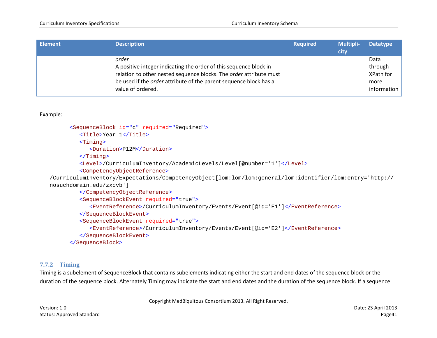| <b>Element</b> | <b>Description</b>                                                       | <b>Required</b> | <b>Multipli-</b><br>city | <b>Datatype</b> |
|----------------|--------------------------------------------------------------------------|-----------------|--------------------------|-----------------|
|                | order                                                                    |                 |                          | Data            |
|                | A positive integer indicating the order of this sequence block in        |                 |                          | through         |
|                | relation to other nested sequence blocks. The order attribute must       |                 |                          | XPath for       |
|                | be used if the <i>order</i> attribute of the parent sequence block has a |                 |                          | more            |
|                | value of ordered.                                                        |                 |                          | information     |

```
<SequenceBlock id="c" required="Required">
         <Title>Year 1</Title>
         <Timing>
            <Duration>P12M</Duration>
         </Timing>
         <Level>/CurriculumInventory/AcademicLevels/Level[@number='1']</Level>
         <CompetencyObjectReference>
/CurriculumInventory/Expectations/CompetencyObject[lom:lom/lom:general/lom:identifier/lom:entry='http://
nosuchdomain.edu/zxcvb']
         </CompetencyObjectReference>
         <SequenceBlockEvent required="true">
            <EventReference>/CurriculumInventory/Events/Event[@id='E1']</EventReference>
         </SequenceBlockEvent>
         <SequenceBlockEvent required="true">
            <EventReference>/CurriculumInventory/Events/Event[@id='E2']</EventReference>
         </SequenceBlockEvent>
      </SequenceBlock>
```
#### **7.7.2 Timing**

<span id="page-40-0"></span>Timing is a subelement of SequenceBlock that contains subelements indicating either the start and end dates of the sequence block or the duration of the sequence block. Alternately Timing may indicate the start and end dates and the duration of the sequence block. If a sequence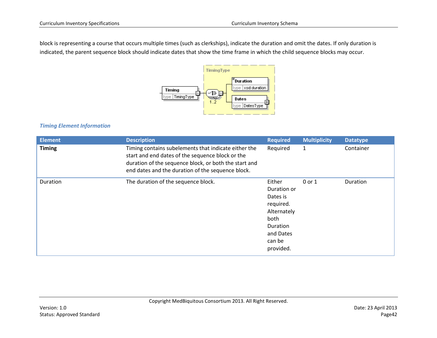block is representing a course that occurs multiple times (such as clerkships), indicate the duration and omit the dates. If only duration is indicated, the parent sequence block should indicate dates that show the time frame in which the child sequence blocks may occur.



# *Timing Element Information*

| <b>Element</b> | <b>Description</b>                                                                                                                                                                                                     | <b>Required</b>                                                                                                       | <b>Multiplicity</b> | <b>Datatype</b> |
|----------------|------------------------------------------------------------------------------------------------------------------------------------------------------------------------------------------------------------------------|-----------------------------------------------------------------------------------------------------------------------|---------------------|-----------------|
| <b>Timing</b>  | Timing contains subelements that indicate either the<br>start and end dates of the sequence block or the<br>duration of the sequence block, or both the start and<br>end dates and the duration of the sequence block. | Required                                                                                                              | 1                   | Container       |
| Duration       | The duration of the sequence block.                                                                                                                                                                                    | Either<br>Duration or<br>Dates is<br>required.<br>Alternately<br>both<br>Duration<br>and Dates<br>can be<br>provided. | 0 or 1              | Duration        |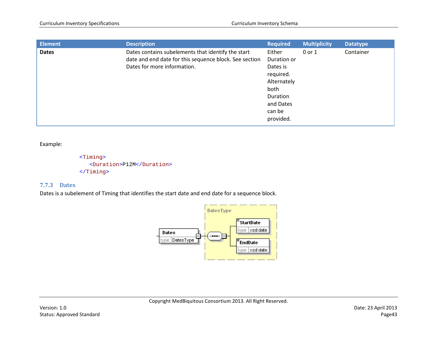| <b>Element</b> | <b>Description</b>                                                                                                                          | <b>Required</b>                                                                                                       | <b>Multiplicity</b> | <b>Datatype</b> |
|----------------|---------------------------------------------------------------------------------------------------------------------------------------------|-----------------------------------------------------------------------------------------------------------------------|---------------------|-----------------|
| <b>Dates</b>   | Dates contains subelements that identify the start<br>date and end date for this sequence block. See section<br>Dates for more information. | Either<br>Duration or<br>Dates is<br>required.<br>Alternately<br>both<br>Duration<br>and Dates<br>can be<br>provided. | 0 or 1              | Container       |

```
<Timing>
   <Duration>P12M</Duration>
</Timing>
```
# **7.7.3 Dates**

<span id="page-42-0"></span>Dates is a subelement of Timing that identifies the start date and end date for a sequence block.

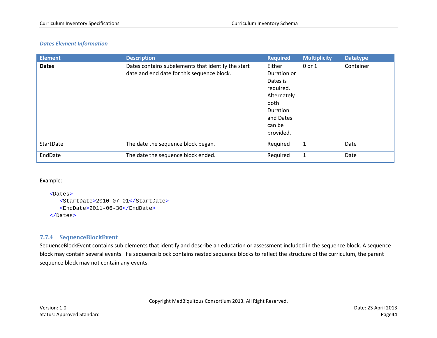#### *Dates Element Information*

| <b>Element</b> | <b>Description</b>                                                                               | <b>Required</b>                                                                                                       | <b>Multiplicity</b> | <b>Datatype</b> |
|----------------|--------------------------------------------------------------------------------------------------|-----------------------------------------------------------------------------------------------------------------------|---------------------|-----------------|
| <b>Dates</b>   | Dates contains subelements that identify the start<br>date and end date for this sequence block. | Either<br>Duration or<br>Dates is<br>required.<br>Alternately<br>both<br>Duration<br>and Dates<br>can be<br>provided. | 0 or 1              | Container       |
| StartDate      | The date the sequence block began.                                                               | Required                                                                                                              | 1                   | Date            |
| EndDate        | The date the sequence block ended.                                                               | Required                                                                                                              | 1                   | Date            |

Example:

```
<Dates>
   <StartDate>2010-07-01</StartDate>
   <EndDate>2011-06-30</EndDate>
</Dates>
```
## **7.7.4 SequenceBlockEvent**

<span id="page-43-0"></span>SequenceBlockEvent contains sub elements that identify and describe an education or assessment included in the sequence block. A sequence block may contain several events. If a sequence block contains nested sequence blocks to reflect the structure of the curriculum, the parent sequence block may not contain any events.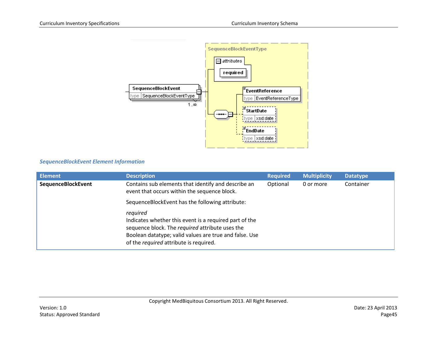

## *SequenceBlockEvent Element Information*

| <b>Element</b>     | <b>Description</b>                                                                                                                                                                                                        | <b>Required</b> | <b>Multiplicity</b> | <b>Datatype</b> |
|--------------------|---------------------------------------------------------------------------------------------------------------------------------------------------------------------------------------------------------------------------|-----------------|---------------------|-----------------|
| SequenceBlockEvent | Contains sub elements that identify and describe an<br>event that occurs within the sequence block.                                                                                                                       | Optional        | 0 or more           | Container       |
|                    | SequenceBlockEvent has the following attribute:                                                                                                                                                                           |                 |                     |                 |
|                    | required<br>Indicates whether this event is a required part of the<br>sequence block. The required attribute uses the<br>Boolean datatype; valid values are true and false. Use<br>of the required attribute is required. |                 |                     |                 |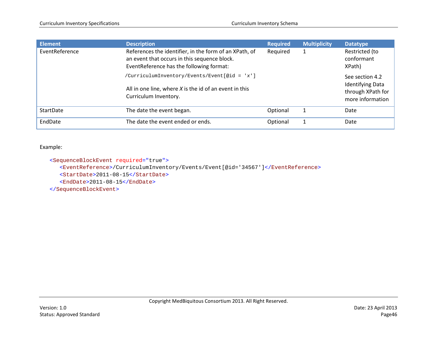| <b>Element</b>   | <b>Description</b>                                                                                                                                 | <b>Required</b> | <b>Multiplicity</b> | <b>Datatype</b>                            |
|------------------|----------------------------------------------------------------------------------------------------------------------------------------------------|-----------------|---------------------|--------------------------------------------|
| EventReference   | References the identifier, in the form of an XPath, of<br>an event that occurs in this sequence block.<br>EventReference has the following format: | Required        |                     | Restricted (to<br>conformant<br>XPath)     |
|                  | /CurriculumInventory/Events/Event[@id = 'x']                                                                                                       |                 |                     | See section 4.2<br><b>Identifying Data</b> |
|                  | All in one line, where $X$ is the id of an event in this<br>Curriculum Inventory.                                                                  |                 |                     | through XPath for<br>more information      |
| <b>StartDate</b> | The date the event began.                                                                                                                          | Optional        |                     | Date                                       |
| EndDate          | The date the event ended or ends.                                                                                                                  | Optional        |                     | Date                                       |

<SequenceBlockEvent required="true">

<EventReference>/CurriculumInventory/Events/Event[@id='34567']</EventReference>

<StartDate>2011-08-15</StartDate>

<EndDate>2011-08-15</EndDate>

</SequenceBlockEvent>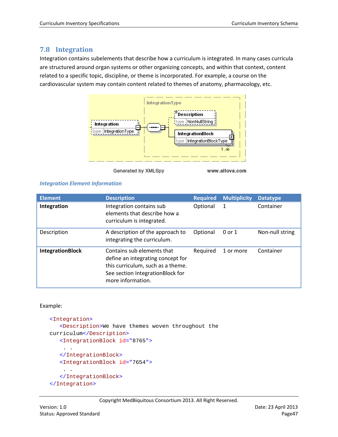# <span id="page-46-0"></span>**7.8 Integration**

Integration contains subelements that describe how a curriculum is integrated. In many cases curricula are structured around organ systems or other organizing concepts, and within that context, content related to a specific topic, discipline, or theme is incorporated. For example, a course on the cardiovascular system may contain content related to themes of anatomy, pharmacology, etc.



Generated by XMLSpy

www.altova.com

## *Integration Element Information*

| <b>Element</b>          | <b>Description</b>                                                                                                                                            | <b>Required</b> | <b>Multiplicity</b> | <b>Datatype</b> |
|-------------------------|---------------------------------------------------------------------------------------------------------------------------------------------------------------|-----------------|---------------------|-----------------|
| Integration             | Integration contains sub<br>elements that describe how a<br>curriculum is integrated.                                                                         | Optional        |                     | Container       |
| Description             | A description of the approach to<br>integrating the curriculum.                                                                                               | Optional        | $0$ or $1$          | Non-null string |
| <b>IntegrationBlock</b> | Contains sub elements that<br>define an integrating concept for<br>this curriculum, such as a theme.<br>See section IntegrationBlock for<br>more information. | Required        | 1 or more           | Container       |

## Example:

```
<Integration>
   <Description>We have themes woven throughout the 
curriculum</Description>
   <IntegrationBlock id="8765">
    . . 
   </IntegrationBlock>
   <IntegrationBlock id="7654">
    . . 
   </IntegrationBlock>
</Integration>
```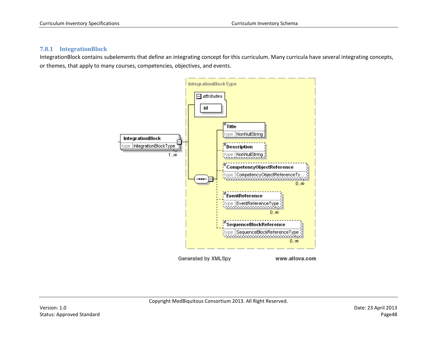#### **7.8.1 IntegrationBlock**

<span id="page-47-0"></span>IntegrationBlock contains subelements that define an integrating concept for this curriculum. Many curricula have several integrating concepts, or themes, that apply to many courses, competencies, objectives, and events.

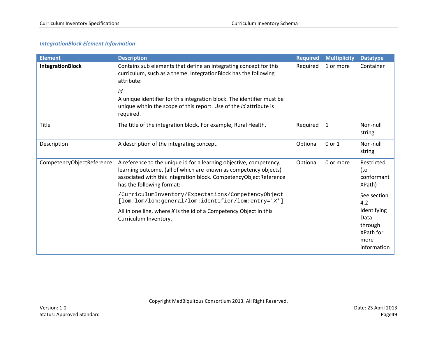#### *IntegrationBlock Element Information*

| <b>Element</b>            | <b>Description</b>                                                                                                                                                                                                                       | <b>Required</b> | <b>Multiplicity</b> | <b>Datatype</b>                                                    |
|---------------------------|------------------------------------------------------------------------------------------------------------------------------------------------------------------------------------------------------------------------------------------|-----------------|---------------------|--------------------------------------------------------------------|
| <b>IntegrationBlock</b>   | Contains sub elements that define an integrating concept for this<br>curriculum, such as a theme. IntegrationBlock has the following<br>attribute:                                                                                       | Required        | 1 or more           | Container                                                          |
|                           | id<br>A unique identifier for this integration block. The identifier must be<br>unique within the scope of this report. Use of the id attribute is<br>required.                                                                          |                 |                     |                                                                    |
| Title                     | The title of the integration block. For example, Rural Health.                                                                                                                                                                           | Required        | 1                   | Non-null<br>string                                                 |
| Description               | A description of the integrating concept.                                                                                                                                                                                                | Optional        | 0 or 1              | Non-null<br>string                                                 |
| CompetencyObjectReference | A reference to the unique id for a learning objective, competency,<br>learning outcome, (all of which are known as competency objects)<br>associated with this integration block. CompetencyObjectReference<br>has the following format: | Optional        | 0 or more           | Restricted<br>(to<br>conformant<br>XPath)                          |
|                           | /CurriculumInventory/Expectations/CompetencyObject<br>[lom:lom/lom:general/lom:identifier/lom:entry='X']                                                                                                                                 |                 |                     | See section<br>4.2                                                 |
|                           | All in one line, where $X$ is the id of a Competency Object in this<br>Curriculum Inventory.                                                                                                                                             |                 |                     | Identifying<br>Data<br>through<br>XPath for<br>more<br>information |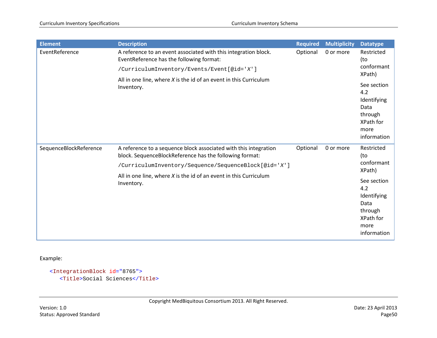| <b>Element</b>         | <b>Description</b>                                                                                                          | <b>Required</b>       | <b>Multiplicity</b> | <b>Datatype</b>                                                                          |
|------------------------|-----------------------------------------------------------------------------------------------------------------------------|-----------------------|---------------------|------------------------------------------------------------------------------------------|
| EventReference         | A reference to an event associated with this integration block.<br>EventReference has the following format:                 | Optional              | 0 or more           | Restricted<br>(to<br>conformant<br>XPath)                                                |
|                        | /CurriculumInventory/Events/Event[@id='X']                                                                                  |                       |                     |                                                                                          |
|                        | All in one line, where $X$ is the id of an event in this Curriculum<br>Inventory.                                           |                       |                     | See section<br>4.2<br>Identifying<br>Data<br>through<br>XPath for<br>more<br>information |
| SequenceBlockReference | A reference to a sequence block associated with this integration<br>block. SequenceBlockReference has the following format: | Optional<br>0 or more |                     | Restricted<br>(to<br>conformant<br>XPath)                                                |
|                        | /CurriculumInventory/Sequence/SequenceBlock[@id='X']                                                                        |                       |                     |                                                                                          |
|                        | All in one line, where $X$ is the id of an event in this Curriculum<br>Inventory.                                           |                       |                     | See section<br>4.2<br>Identifying<br>Data<br>through<br>XPath for<br>more<br>information |

<IntegrationBlock id="8765"> <Title>Social Sciences</Title>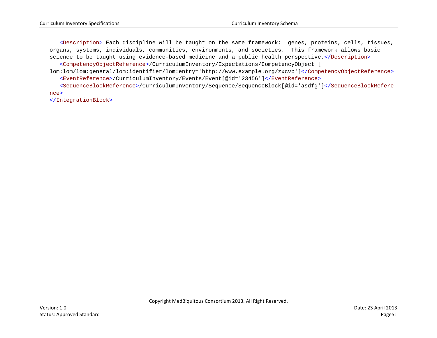<Description> Each discipline will be taught on the same framework: genes, proteins, cells, tissues, organs, systems, individuals, communities, environments, and societies. This framework allows basic science to be taught using evidence-based medicine and a public health perspective.</Description>

<CompetencyObjectReference>/CurriculumInventory/Expectations/CompetencyObject [

lom:lom/lom:general/lom:identifier/lom:entry='http://www.example.org/zxcvb']</CompetencyObjectReference> <EventReference>/CurriculumInventory/Events/Event[@id='23456']</EventReference>

<SequenceBlockReference>/CurriculumInventory/Sequence/SequenceBlock[@id='asdfg']</SequenceBlockRefere nce>

</IntegrationBlock>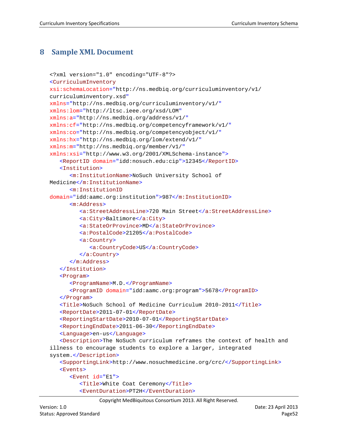# <span id="page-51-0"></span>**8 Sample XML Document**

```
<?xml version="1.0" encoding="UTF-8"?>
<CurriculumInventory
xsi:schemaLocation="http://ns.medbiq.org/curriculuminventory/v1/ 
curriculuminventory.xsd"
xmlns="http://ns.medbiq.org/curriculuminventory/v1/"
xmlns:lom="http://ltsc.ieee.org/xsd/LOM"
xmlns:a="http://ns.medbiq.org/address/v1/"
xmlns:cf="http://ns.medbiq.org/competencyframework/v1/"
xmlns:co="http://ns.medbiq.org/competencyobject/v1/"
xmlns:hx="http://ns.medbiq.org/lom/extend/v1/"
xmlns:m="http://ns.medbiq.org/member/v1/"
xmlns:xsi="http://www.w3.org/2001/XMLSchema-instance">
   <ReportID domain="idd:nosuch.edu:cip">12345</ReportID>
   <Institution>
      <m:InstitutionName>NoSuch University School of 
Medicine</m:InstitutionName>
      <m:InstitutionID
domain="idd:aamc.org:institution">987</m:InstitutionID>
      <m:Address>
         <a:StreetAddressLine>720 Main Street</a:StreetAddressLine>
         <a:City>Baltimore</a:City>
         <a:StateOrProvince>MD</a:StateOrProvince>
         <a:PostalCode>21205</a:PostalCode>
         <a:Country>
            <a:CountryCode>US</a:CountryCode>
         </a:Country>
      </m:Address>
   </Institution>
   <Program>
      <ProgramName>M.D.</ProgramName>
      <ProgramID domain="idd:aamc.org:program">5678</ProgramID>
   </Program>
   <Title>NoSuch School of Medicine Curriculum 2010-2011</Title>
   <ReportDate>2011-07-01</ReportDate>
   <ReportingStartDate>2010-07-01</ReportingStartDate>
   <ReportingEndDate>2011-06-30</ReportingEndDate>
   <Language>en-us</Language>
   <Description>The NoSuch curriculum reframes the context of health and 
illness to encourage students to explore a larger, integrated 
system.</Description>
   <SupportingLink>http://www.nosuchmedicine.org/crc/</SupportingLink>
   <Events>
      <Event id="E1">
         <Title>White Coat Ceremony</Title>
         <EventDuration>PT2H</EventDuration>
```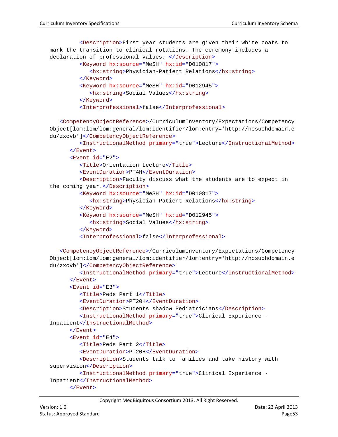```
<Description>First year students are given their white coats to 
mark the transition to clinical rotations. The ceremony includes a 
declaration of professional values. </Description>
         <Keyword hx:source="MeSH" hx:id="D010817">
            <hx:string>Physician-Patient Relations</hx:string>
         </Keyword>
         <Keyword hx:source="MeSH" hx:id="D012945">
            <hx:string>Social Values</hx:string>
         </Keyword>
         <Interprofessional>false</Interprofessional>
   <CompetencyObjectReference>/CurriculumInventory/Expectations/Competency
Object[lom:lom/lom:general/lom:identifier/lom:entry='http://nosuchdomain.e
du/zxcvb']</CompetencyObjectReference>
         <InstructionalMethod primary="true">Lecture</InstructionalMethod>
      </Event>
      <Event id="E2">
         <Title>Orientation Lecture</Title>
         <EventDuration>PT4H</EventDuration>
         <Description>Faculty discuss what the students are to expect in 
the coming year.</Description>
         <Keyword hx:source="MeSH" hx:id="D010817">
            <hx:string>Physician-Patient Relations</hx:string>
         </Keyword>
         <Keyword hx:source="MeSH" hx:id="D012945">
            <hx:string>Social Values</hx:string>
         </Keyword>
         <Interprofessional>false</Interprofessional>
   <CompetencyObjectReference>/CurriculumInventory/Expectations/Competency
Object[lom:lom/lom:general/lom:identifier/lom:entry='http://nosuchdomain.e
du/zxcvb']</CompetencyObjectReference>
         <InstructionalMethod primary="true">Lecture</InstructionalMethod>
      </Event>
      <Event id="E3">
         <Title>Peds Part 1</Title>
         <EventDuration>PT20H</EventDuration>
         <Description>Students shadow Pediatricians</Description>
         <InstructionalMethod primary="true">Clinical Experience -
Inpatient</InstructionalMethod>
      </Event>
      <Event id="E4">
         <Title>Peds Part 2</Title>
         <EventDuration>PT20H</EventDuration>
         <Description>Students talk to families and take history with 
supervision</Description>
         <InstructionalMethod primary="true">Clinical Experience -
Inpatient</InstructionalMethod>
      </Event>
```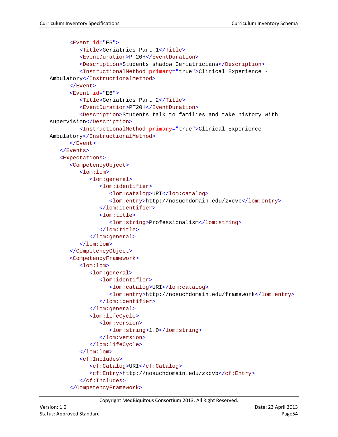```
<Event id="E5">
         <Title>Geriatrics Part 1</Title>
         <EventDuration>PT20H</EventDuration>
         <Description>Students shadow Geriatricians</Description>
         <InstructionalMethod primary="true">Clinical Experience -
Ambulatory</InstructionalMethod>
      </Event>
      <Event id="E6">
         <Title>Geriatrics Part 2</Title>
         <EventDuration>PT20H</EventDuration>
         <Description>Students talk to families and take history with 
supervision</Description>
         <InstructionalMethod primary="true">Clinical Experience -
Ambulatory</InstructionalMethod>
      </Event>
   </Events>
   <Expectations>
      <CompetencyObject>
         <lom:lom>
            <lom:general>
               <lom:identifier>
                  <lom:catalog>URI</lom:catalog>
                  <lom:entry>http://nosuchdomain.edu/zxcvb</lom:entry>
               </lom:identifier>
               <lom:title>
                  <lom:string>Professionalism</lom:string>
               </lom:title>
            </lom:general>
         </lom:lom>
      </CompetencyObject>
      <CompetencyFramework>
         <lom:lom>
            <lom:general>
               <lom:identifier>
                  <lom:catalog>URI</lom:catalog>
                  <lom:entry>http://nosuchdomain.edu/framework</lom:entry>
               </lom:identifier>
            </lom:general>
            <lom:lifeCycle>
               <lom:version>
                  <lom:string>1.0</lom:string>
               </lom:version>
            </lom:lifeCycle>
         </lom:lom>
         <cf:Includes>
            <cf:Catalog>URI</cf:Catalog>
            <cf:Entry>http://nosuchdomain.edu/zxcvb</cf:Entry>
         </cf:Includes>
      </CompetencyFramework>
```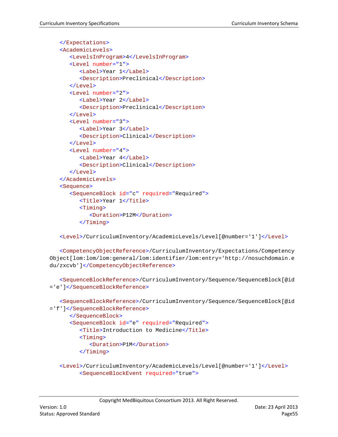```
</Expectations>
<AcademicLevels>
   <LevelsInProgram>4</LevelsInProgram>
   <Level number="1">
      <Label>Year 1</Label>
      <Description>Preclinical</Description>
   </Level>
   <Level number="2">
      <Label>Year 2</Label>
      <Description>Preclinical</Description>
   </Level>
   <Level number="3">
      <Label>Year 3</Label>
      <Description>Clinical</Description>
  </Level>
   <Level number="4">
      <Label>Year 4</Label>
      <Description>Clinical</Description>
   </Level>
</AcademicLevels>
<Sequence>
   <SequenceBlock id="c" required="Required">
      <Title>Year 1</Title>
      <Timing>
         <Duration>P12M</Duration>
      </Timing>
```
<Level>/CurriculumInventory/AcademicLevels/Level[@number='1']</Level>

<CompetencyObjectReference>/CurriculumInventory/Expectations/Competency Object[lom:lom/lom:general/lom:identifier/lom:entry='http://nosuchdomain.e du/zxcvb']</CompetencyObjectReference>

```
<SequenceBlockReference>/CurriculumInventory/Sequence/SequenceBlock[@id
='e']</SequenceBlockReference>
```

```
<SequenceBlockReference>/CurriculumInventory/Sequence/SequenceBlock[@id
='f']</SequenceBlockReference>
      </SequenceBlock>
      <SequenceBlock id="e" required="Required">
         <Title>Introduction to Medicine</Title>
         <Timing>
            <Duration>P1M</Duration>
         </Timing>
   <Level>/CurriculumInventory/AcademicLevels/Level[@number='1']</Level>
         <SequenceBlockEvent required="true">
```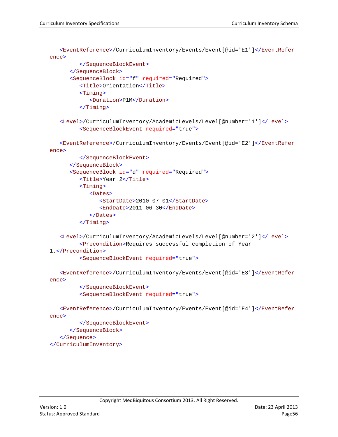```
<EventReference>/CurriculumInventory/Events/Event[@id='E1']</EventRefer
ence>
         </SequenceBlockEvent>
      </SequenceBlock>
      <SequenceBlock id="f" required="Required">
         <Title>Orientation</Title>
         <Timing>
            <Duration>P1M</Duration>
         </Timing>
   <Level>/CurriculumInventory/AcademicLevels/Level[@number='1']</Level>
         <SequenceBlockEvent required="true">
   <EventReference>/CurriculumInventory/Events/Event[@id='E2']</EventRefer
ence>
         </SequenceBlockEvent>
      </SequenceBlock>
      <SequenceBlock id="d" required="Required">
         <Title>Year 2</Title>
         <Timing>
            <Dates>
               <StartDate>2010-07-01</StartDate>
               <EndDate>2011-06-30</EndDate>
            </Dates>
         </Timing>
   <Level>/CurriculumInventory/AcademicLevels/Level[@number='2']</Level>
         <Precondition>Requires successful completion of Year 
1.</Precondition>
         <SequenceBlockEvent required="true">
```

```
<EventReference>/CurriculumInventory/Events/Event[@id='E3']</EventRefer
ence>
```

```
</SequenceBlockEvent>
<SequenceBlockEvent required="true">
```

```
<EventReference>/CurriculumInventory/Events/Event[@id='E4']</EventRefer
ence>
```

```
</SequenceBlockEvent>
      </SequenceBlock>
   </Sequence>
</CurriculumInventory>
```